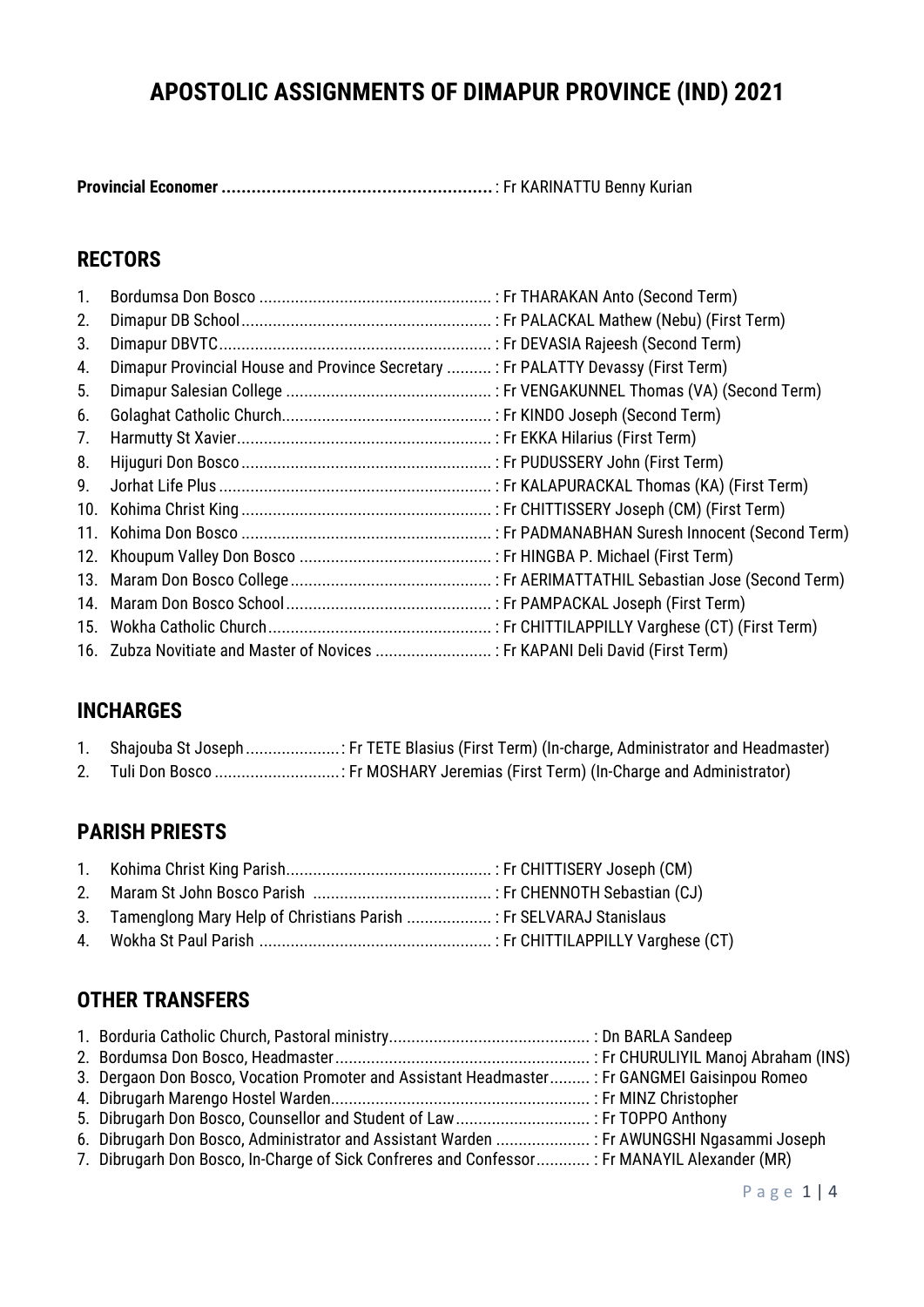# **APOSTOLIC ASSIGNMENTS OF DIMAPUR PROVINCE (IND) 2021**

**Provincial Economer ......................................................** : Fr KARINATTU Benny Kurian

### **RECTORS**

| 1.             |                                                                                   |  |
|----------------|-----------------------------------------------------------------------------------|--|
| 2.             |                                                                                   |  |
| 3.             |                                                                                   |  |
| 4.             | Dimapur Provincial House and Province Secretary : Fr PALATTY Devassy (First Term) |  |
| 5 <sub>1</sub> |                                                                                   |  |
| 6.             |                                                                                   |  |
| 7.             |                                                                                   |  |
| 8.             |                                                                                   |  |
| 9.             |                                                                                   |  |
|                |                                                                                   |  |
|                |                                                                                   |  |
|                |                                                                                   |  |
|                |                                                                                   |  |
|                |                                                                                   |  |
|                |                                                                                   |  |
|                | 16. Zubza Novitiate and Master of Novices  : Fr KAPANI Deli David (First Term)    |  |

### **INCHARGES**

| Shajouba St Joseph : Fr TETE Blasius (First Term) (In-charge, Administrator and Headmaster) |  |  |  |
|---------------------------------------------------------------------------------------------|--|--|--|
|                                                                                             |  |  |  |

2. Tuli Don Bosco ............................: Fr MOSHARY Jeremias (First Term) (In-Charge and Administrator)

### **PARISH PRIESTS**

|--|--|--|--|

- 2. Maram St John Bosco Parish ........................................ : Fr CHENNOTH Sebastian (CJ)
- 3. Tamenglong Mary Help of Christians Parish ................... : Fr SELVARAJ Stanislaus
- 4. Wokha St Paul Parish .................................................... : Fr CHITTILAPPILLY Varghese (CT)

### **OTHER TRANSFERS**

| 3. Dergaon Don Bosco, Vocation Promoter and Assistant Headmaster: Fr GANGMEI Gaisinpou Romeo  |  |
|-----------------------------------------------------------------------------------------------|--|
|                                                                                               |  |
|                                                                                               |  |
| 6. Dibrugarh Don Bosco, Administrator and Assistant Warden  : Fr AWUNGSHI Ngasammi Joseph     |  |
| 7. Dibrugarh Don Bosco, In-Charge of Sick Confreres and Confessor : Fr MANAYIL Alexander (MR) |  |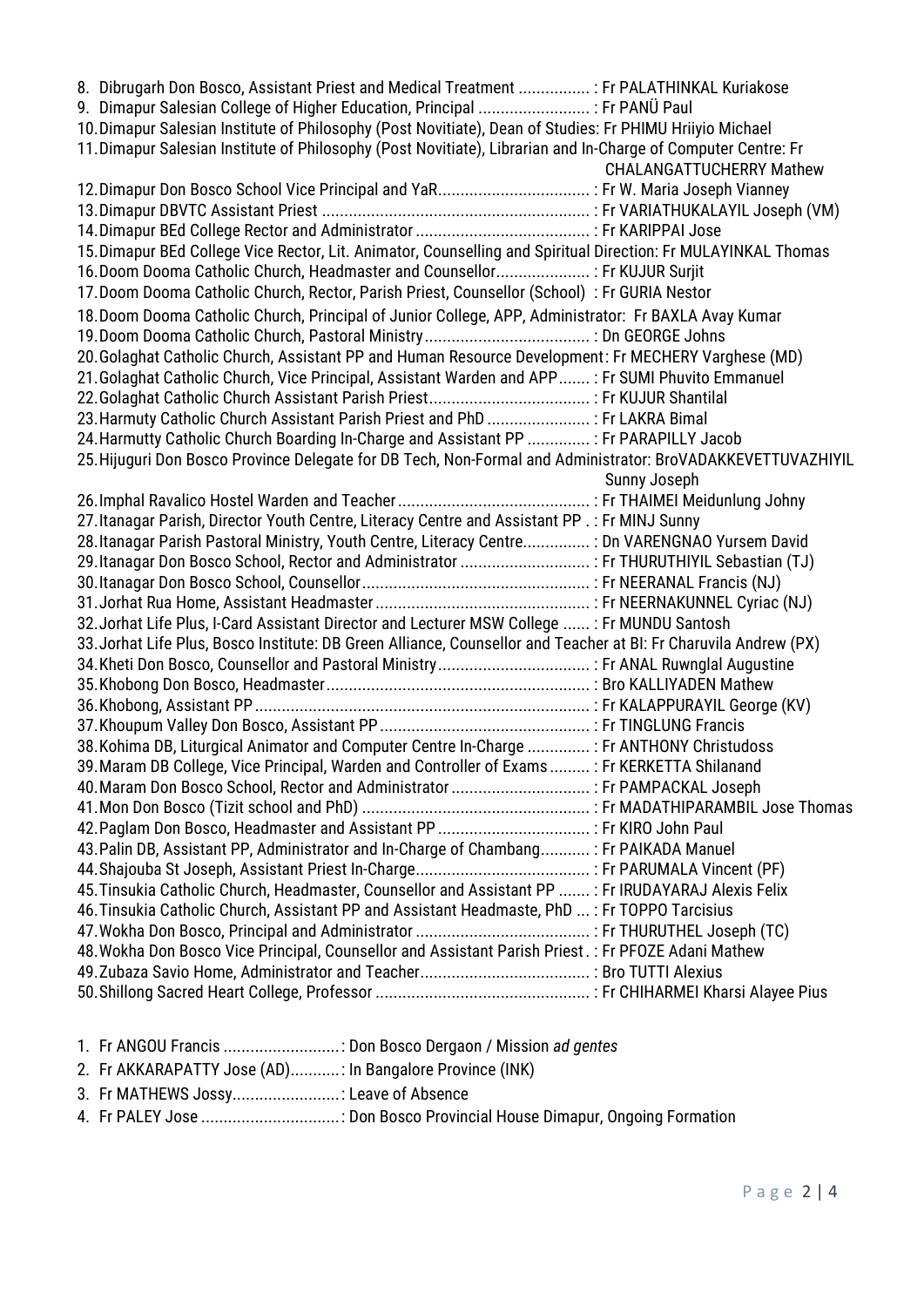| 8. Dibrugarh Don Bosco, Assistant Priest and Medical Treatment  : Fr PALATHINKAL Kuriakose                       |                                 |
|------------------------------------------------------------------------------------------------------------------|---------------------------------|
| 9. Dimapur Salesian College of Higher Education, Principal  : Fr PANÜ Paul                                       |                                 |
| 10. Dimapur Salesian Institute of Philosophy (Post Novitiate), Dean of Studies: Fr PHIMU Hriiyio Michael         |                                 |
| 11. Dimapur Salesian Institute of Philosophy (Post Novitiate), Librarian and In-Charge of Computer Centre: Fr    |                                 |
|                                                                                                                  | <b>CHALANGATTUCHERRY Mathew</b> |
|                                                                                                                  |                                 |
|                                                                                                                  |                                 |
|                                                                                                                  |                                 |
| 15. Dimapur BEd College Vice Rector, Lit. Animator, Counselling and Spiritual Direction: Fr MULAYINKAL Thomas    |                                 |
| 16. Doom Dooma Catholic Church, Headmaster and Counsellor : Fr KUJUR Surjit                                      |                                 |
| 17. Doom Dooma Catholic Church, Rector, Parish Priest, Counsellor (School) : Fr GURIA Nestor                     |                                 |
| 18. Doom Dooma Catholic Church, Principal of Junior College, APP, Administrator: Fr BAXLA Avay Kumar             |                                 |
|                                                                                                                  |                                 |
| 20. Golaghat Catholic Church, Assistant PP and Human Resource Development: Fr MECHERY Varghese (MD)              |                                 |
| 21. Golaghat Catholic Church, Vice Principal, Assistant Warden and APP: Fr SUMI Phuvito Emmanuel                 |                                 |
|                                                                                                                  |                                 |
| 23. Harmuty Catholic Church Assistant Parish Priest and PhD  : Fr LAKRA Bimal                                    |                                 |
| 24. Harmutty Catholic Church Boarding In-Charge and Assistant PP  : Fr PARAPILLY Jacob                           |                                 |
| 25. Hijuguri Don Bosco Province Delegate for DB Tech, Non-Formal and Administrator: BroVADAKKEVETTUVAZHIYIL      |                                 |
|                                                                                                                  | Sunny Joseph                    |
|                                                                                                                  |                                 |
| 27. Itanagar Parish, Director Youth Centre, Literacy Centre and Assistant PP .: Fr MINJ Sunny                    |                                 |
| 28. Itanagar Parish Pastoral Ministry, Youth Centre, Literacy Centre : Dn VARENGNAO Yursem David                 |                                 |
|                                                                                                                  |                                 |
|                                                                                                                  |                                 |
|                                                                                                                  |                                 |
| 32. Jorhat Life Plus, I-Card Assistant Director and Lecturer MSW College  : Fr MUNDU Santosh                     |                                 |
| 33. Jorhat Life Plus, Bosco Institute: DB Green Alliance, Counsellor and Teacher at BI: Fr Charuvila Andrew (PX) |                                 |
|                                                                                                                  |                                 |
|                                                                                                                  |                                 |
|                                                                                                                  |                                 |
|                                                                                                                  |                                 |
| 38. Kohima DB, Liturgical Animator and Computer Centre In-Charge  : Fr ANTHONY Christudoss                       |                                 |
| 39. Maram DB College, Vice Principal, Warden and Controller of Exams : Fr KERKETTA Shilanand                     |                                 |
| 40. Maram Don Bosco School, Rector and Administrator  : Fr PAMPACKAL Joseph                                      |                                 |
|                                                                                                                  |                                 |
|                                                                                                                  |                                 |
| 43. Palin DB, Assistant PP, Administrator and In-Charge of Chambang: Fr PAIKADA Manuel                           |                                 |
|                                                                                                                  |                                 |
| 45. Tinsukia Catholic Church, Headmaster, Counsellor and Assistant PP  : Fr IRUDAYARAJ Alexis Felix              |                                 |
| 46. Tinsukia Catholic Church, Assistant PP and Assistant Headmaste, PhD : Fr TOPPO Tarcisius                     |                                 |
|                                                                                                                  |                                 |
| 48. Wokha Don Bosco Vice Principal, Counsellor and Assistant Parish Priest.: Fr PFOZE Adani Mathew               |                                 |
|                                                                                                                  |                                 |
|                                                                                                                  |                                 |

- 1. Fr ANGOU Francis ..........................: Don Bosco Dergaon / Mission *ad gentes*
- 2. Fr AKKARAPATTY Jose (AD)...........: In Bangalore Province (INK)
- 3. Fr MATHEWS Jossy........................: Leave of Absence
- 4. Fr PALEY Jose ...............................: Don Bosco Provincial House Dimapur, Ongoing Formation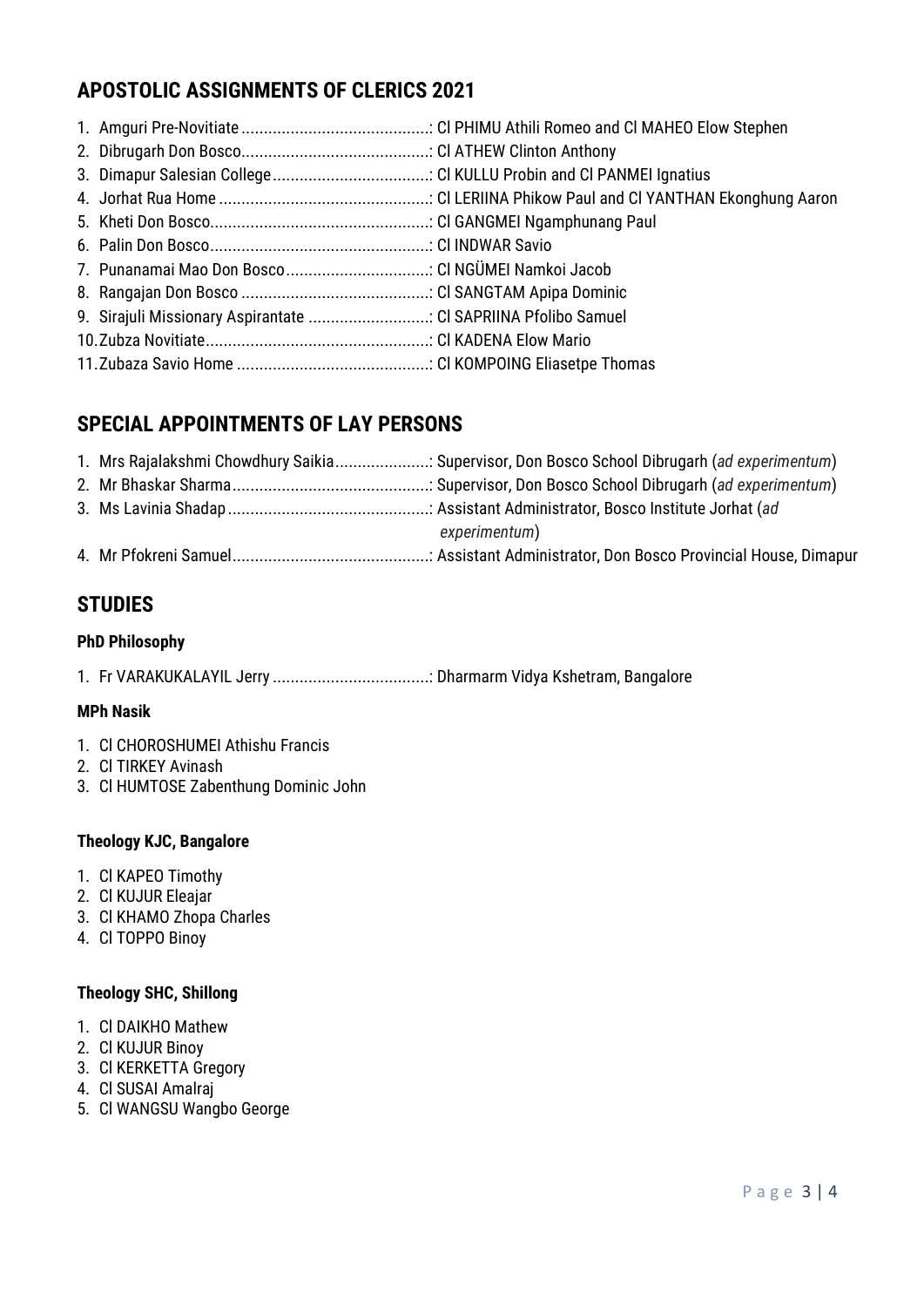## **APOSTOLIC ASSIGNMENTS OF CLERICS 2021**

| 9. Sirajuli Missionary Aspirantate  Cl SAPRIINA Pfolibo Samuel |  |
|----------------------------------------------------------------|--|
|                                                                |  |
|                                                                |  |

### **SPECIAL APPOINTMENTS OF LAY PERSONS**

|  | 1. Mrs Rajalakshmi Chowdhury Saikia: Supervisor, Don Bosco School Dibrugarh (ad experimentum) |
|--|-----------------------------------------------------------------------------------------------|
|  |                                                                                               |
|  |                                                                                               |
|  | experimentum)                                                                                 |
|  |                                                                                               |

### **STUDIES**

#### **PhD Philosophy**

1. Fr VARAKUKALAYIL Jerry ...................................: Dharmarm Vidya Kshetram, Bangalore

#### **MPh Nasik**

- 1. Cl CHOROSHUMEI Athishu Francis
- 2. Cl TIRKEY Avinash
- 3. Cl HUMTOSE Zabenthung Dominic John

#### **Theology KJC, Bangalore**

- 1. Cl KAPEO Timothy
- 2. Cl KUJUR Eleajar
- 3. Cl KHAMO Zhopa Charles
- 4. Cl TOPPO Binoy

#### **Theology SHC, Shillong**

- 1. Cl DAIKHO Mathew
- 2. Cl KUJUR Binoy
- 3. Cl KERKETTA Gregory
- 4. Cl SUSAI Amalraj
- 5. Cl WANGSU Wangbo George